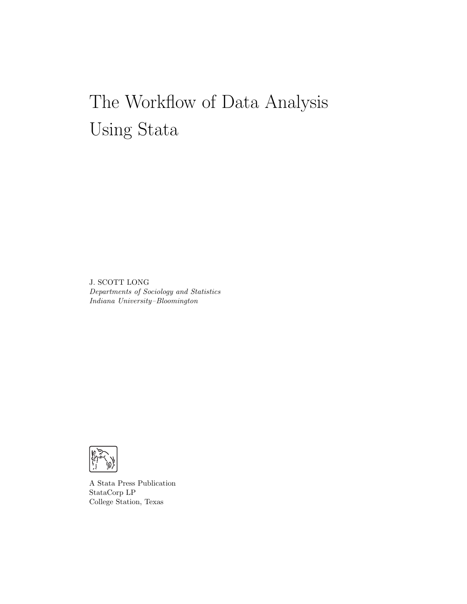# The Workflow of Data Analysis Using Stata

J. SCOTT LONG Departments of Sociology and Statistics Indiana University–Bloomington



A Stata Press Publication StataCorp LP College Station, Texas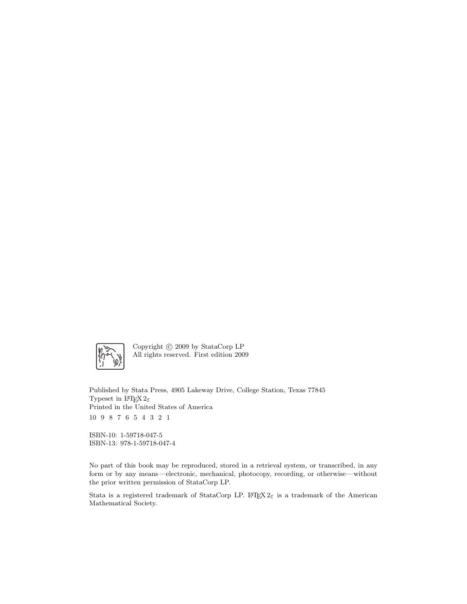

Copyright  $\odot$  2009 by StataCorp LP All rights reserved. First edition 2009

Published by Stata Press, 4905 Lakeway Drive, College Station, Texas 77845 Typeset in L<sup>AT</sup>FX  $2\varepsilon$ Printed in the United States of America 10 9 8 7 6 5 4 3 2 1

ISBN-10: 1-59718-047-5 ISBN-13: 978-1-59718-047-4

No part of this book may be reproduced, stored in a retrieval system, or transcribed, in any form or by any means—electronic, mechanical, photocopy, recording, or otherwise—without the prior written permission of StataCorp LP.

Stata is a registered trademark of StataCorp LP. LATEX  $2\varepsilon$  is a trademark of the American Mathematical Society.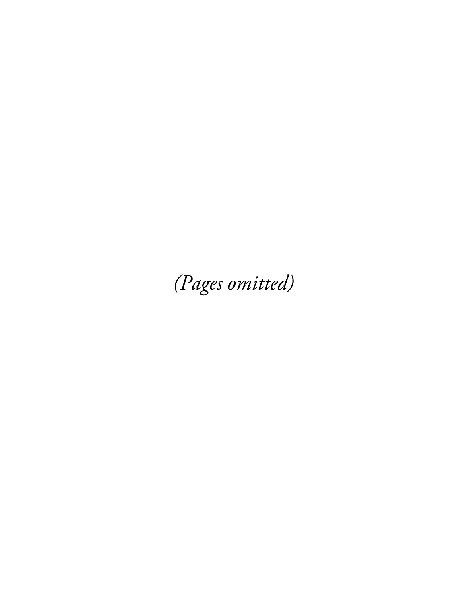(Pages omitted)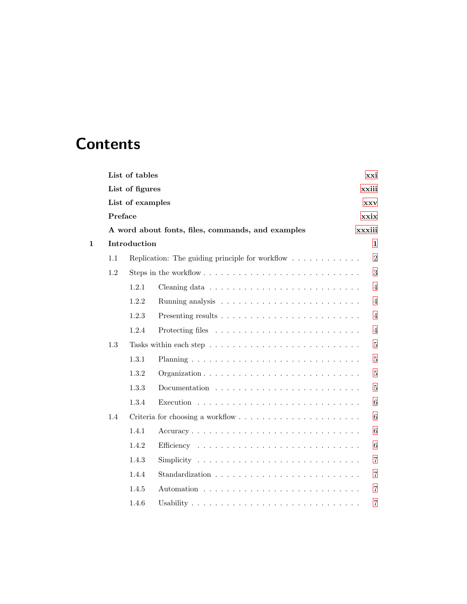## **Contents**

|   |                                | List of tables<br>xxi                                                         |                                                                                          |        |                |  |
|---|--------------------------------|-------------------------------------------------------------------------------|------------------------------------------------------------------------------------------|--------|----------------|--|
|   |                                | List of figures                                                               |                                                                                          |        | xxiii          |  |
|   | List of examples<br><b>XXV</b> |                                                                               |                                                                                          |        |                |  |
|   | Preface                        |                                                                               | xxix                                                                                     |        |                |  |
|   |                                |                                                                               | A word about fonts, files, commands, and examples                                        | xxxiii |                |  |
| 1 | Introduction                   |                                                                               |                                                                                          |        | 1              |  |
|   | 1.1                            | Replication: The guiding principle for workflow $\ldots \ldots \ldots \ldots$ |                                                                                          |        |                |  |
|   | 1.2                            |                                                                               | Steps in the workflow $\dots \dots \dots \dots \dots \dots \dots \dots \dots \dots$      |        | 3              |  |
|   |                                | 1.2.1                                                                         | Cleaning data $\ldots \ldots \ldots \ldots \ldots \ldots \ldots \ldots \ldots$           |        | 4              |  |
|   |                                | 1.2.2                                                                         |                                                                                          |        | 4              |  |
|   |                                | 1.2.3                                                                         |                                                                                          |        | $\overline{4}$ |  |
|   |                                | 1.2.4                                                                         |                                                                                          |        | 4              |  |
|   | 1.3                            |                                                                               |                                                                                          |        | $\overline{5}$ |  |
|   |                                | 1.3.1                                                                         |                                                                                          |        | 5              |  |
|   |                                | 1.3.2                                                                         |                                                                                          |        | 5              |  |
|   |                                | 1.3.3                                                                         | Documentation $\ldots \ldots \ldots \ldots \ldots \ldots \ldots \ldots$                  |        | $\bf 5$        |  |
|   |                                | 1.3.4                                                                         |                                                                                          |        | 6              |  |
|   | 1.4                            |                                                                               |                                                                                          |        | 6              |  |
|   |                                | 1.4.1                                                                         | $\text{Accuracy } \ldots \ldots \ldots \ldots \ldots \ldots \ldots \ldots \ldots \ldots$ |        | 6              |  |
|   |                                | 1.4.2                                                                         |                                                                                          |        | 6              |  |
|   |                                | 1.4.3                                                                         |                                                                                          |        | $\overline{7}$ |  |
|   |                                | 1.4.4                                                                         |                                                                                          |        | $\overline{7}$ |  |
|   |                                | 1.4.5                                                                         |                                                                                          |        | $\overline{7}$ |  |
|   |                                | 1.4.6                                                                         |                                                                                          |        | 7              |  |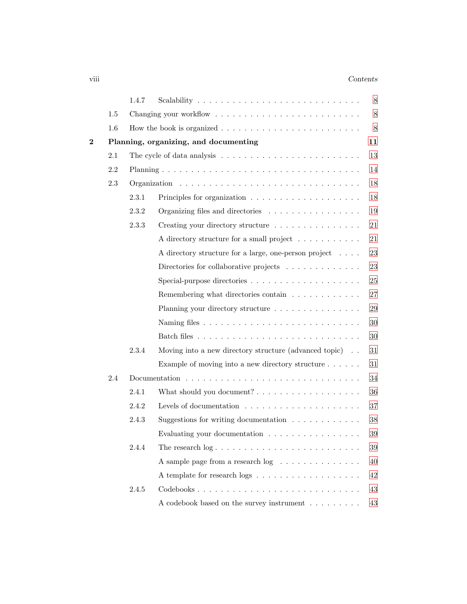## viii Contents

|          |         | 1.4.7 |                                                                                      | 8      |
|----------|---------|-------|--------------------------------------------------------------------------------------|--------|
|          | $1.5\,$ |       |                                                                                      | 8      |
|          | 1.6     |       | How the book is organized $\ldots \ldots \ldots \ldots \ldots \ldots \ldots \ldots$  | 8      |
| $\bf{2}$ |         |       | Planning, organizing, and documenting                                                | 11     |
|          | 2.1     |       | The cycle of data analysis $\ldots \ldots \ldots \ldots \ldots \ldots \ldots \ldots$ | 13     |
|          | 2.2     |       |                                                                                      | 14     |
|          | 2.3     |       |                                                                                      | 18     |
|          |         | 2.3.1 |                                                                                      | 18     |
|          |         | 2.3.2 | Organizing files and directories                                                     | 19     |
|          |         | 2.3.3 | Creating your directory structure                                                    | 21     |
|          |         |       | A directory structure for a small project                                            | 21     |
|          |         |       | A directory structure for a large, one-person project                                | 23     |
|          |         |       | Directories for collaborative projects $\ldots \ldots \ldots \ldots$                 | 23     |
|          |         |       | Special-purpose directories $\ldots \ldots \ldots \ldots \ldots \ldots$              | 25     |
|          |         |       | Remembering what directories contain                                                 | 27     |
|          |         |       | Planning your directory structure                                                    | 29     |
|          |         |       |                                                                                      | 30     |
|          |         |       |                                                                                      | 30     |
|          |         | 2.3.4 | Moving into a new directory structure (advanced topic)                               | 31     |
|          |         |       | Example of moving into a new directory structure $\ldots \ldots$                     | 31     |
|          | 2.4     |       |                                                                                      | 34     |
|          |         | 2.4.1 |                                                                                      | 36     |
|          |         | 2.4.2 |                                                                                      | 37     |
|          |         | 2.4.3 | Suggestions for writing documentation $\ldots \ldots \ldots \ldots$                  | 38     |
|          |         |       | Evaluating your documentation $\dots \dots \dots \dots \dots$                        | $39\,$ |
|          |         | 2.4.4 | The research $log$                                                                   | 39     |
|          |         |       | A sample page from a research log                                                    | 40     |
|          |         |       |                                                                                      | 42     |
|          |         | 2.4.5 | Codebooks                                                                            | 43     |
|          |         |       | A codebook based on the survey instrument $\ldots \ldots \ldots$                     | 43     |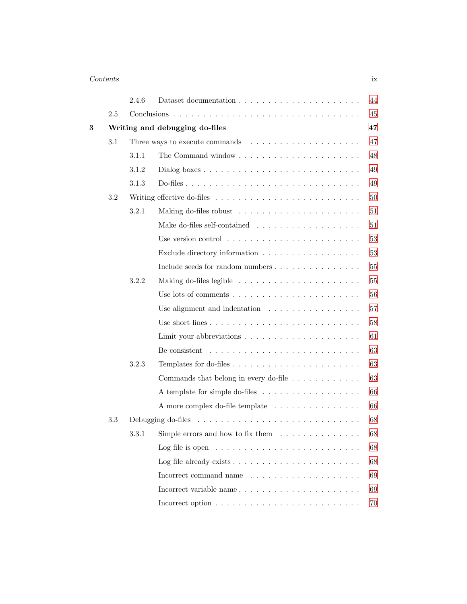| Contents | 1X |
|----------|----|
|----------|----|

|   |         | 2.4.6 |                                                                                      | 44     |
|---|---------|-------|--------------------------------------------------------------------------------------|--------|
|   | 2.5     |       |                                                                                      | 45     |
| 3 |         |       | Writing and debugging do-files                                                       | 47     |
|   | 3.1     |       | Three ways to execute commands $\dots \dots \dots \dots \dots \dots \dots$           | 47     |
|   |         | 3.1.1 |                                                                                      | 48     |
|   |         | 3.1.2 |                                                                                      | 49     |
|   |         | 3.1.3 |                                                                                      | 49     |
|   | 3.2     |       | Writing effective do-files $\ldots \ldots \ldots \ldots \ldots \ldots \ldots \ldots$ | 50     |
|   |         | 3.2.1 | Making do-files robust $\dots \dots \dots \dots \dots \dots \dots$                   | 51     |
|   |         |       |                                                                                      | 51     |
|   |         |       | Use version control $\dots \dots \dots \dots \dots \dots \dots \dots$                | 53     |
|   |         |       | Exclude directory information                                                        | 53     |
|   |         |       | Include seeds for random numbers                                                     | $55\,$ |
|   |         | 3.2.2 |                                                                                      | $55\,$ |
|   |         |       |                                                                                      | 56     |
|   |         |       | Use alignment and indentation                                                        | 57     |
|   |         |       | Use short lines $\ldots \ldots \ldots \ldots \ldots \ldots \ldots \ldots \ldots$     | 58     |
|   |         |       |                                                                                      | 61     |
|   |         |       | Be consistent                                                                        | 63     |
|   |         | 3.2.3 |                                                                                      | 63     |
|   |         |       | Commands that belong in every do-file $\ldots \ldots \ldots \ldots$                  | 63     |
|   |         |       | A template for simple do-files                                                       | 66     |
|   |         |       | A more complex do-file template                                                      | 66     |
|   | $3.3\,$ |       |                                                                                      | 68     |
|   |         |       | 3.3.1 Simple errors and how to fix them                                              | $68\,$ |
|   |         |       | Log file is open $\dots \dots \dots \dots \dots \dots \dots \dots \dots \dots$       | 68     |
|   |         |       |                                                                                      | 68     |
|   |         |       | Incorrect command name $\ldots \ldots \ldots \ldots \ldots \ldots$                   | 69     |
|   |         |       | Incorrect variable name                                                              | 69     |
|   |         |       |                                                                                      | 70     |
|   |         |       |                                                                                      |        |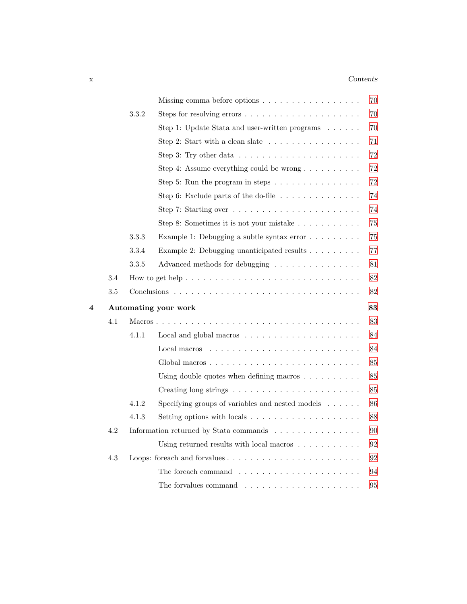## x Contents

|   |     |       | Missing comma before options $\dots \dots \dots \dots \dots \dots$        | 70     |
|---|-----|-------|---------------------------------------------------------------------------|--------|
|   |     | 3.3.2 | Steps for resolving errors $\dots \dots \dots \dots \dots \dots \dots$    | 70     |
|   |     |       | Step 1: Update Stata and user-written programs                            | 70     |
|   |     |       | Step 2: Start with a clean slate $\ldots \ldots \ldots \ldots \ldots$     | 71     |
|   |     |       | Step 3: Try other data $\ldots \ldots \ldots \ldots \ldots \ldots \ldots$ | 72     |
|   |     |       | Step 4: Assume everything could be wrong $\dots \dots \dots$              | 72     |
|   |     |       | Step 5: Run the program in steps $\ldots \ldots \ldots \ldots \ldots$     | 72     |
|   |     |       | Step 6: Exclude parts of the do-file $\ldots \ldots \ldots \ldots$        | 74     |
|   |     |       | Step 7: Starting over $\dots \dots \dots \dots \dots \dots \dots \dots$   | 74     |
|   |     |       | Step 8: Sometimes it is not your mistake $\ldots \ldots \ldots$           | 75     |
|   |     | 3.3.3 | Example 1: Debugging a subtle syntax error                                | 75     |
|   |     | 3.3.4 | Example 2: Debugging unanticipated results                                | $77\,$ |
|   |     | 3.3.5 | Advanced methods for debugging                                            | 81     |
|   | 3.4 |       |                                                                           | 82     |
|   | 3.5 |       |                                                                           | 82     |
| 4 |     |       | Automating your work                                                      | 83     |
|   | 4.1 |       |                                                                           | 83     |
|   |     | 4.1.1 |                                                                           | 84     |
|   |     |       |                                                                           | 84     |
|   |     |       |                                                                           | 85     |
|   |     |       | Using double quotes when defining macros $\dots \dots \dots$              | 85     |
|   |     |       | Creating long strings $\ldots \ldots \ldots \ldots \ldots \ldots \ldots$  | 85     |
|   |     | 4.1.2 | Specifying groups of variables and nested models                          | 86     |
|   |     | 4.1.3 |                                                                           | 88     |
|   | 4.2 |       | Information returned by Stata commands                                    | 90     |
|   |     |       | Using returned results with local macros $\ldots \ldots \ldots$           | 92     |
|   | 4.3 |       |                                                                           | 92     |
|   |     |       |                                                                           | 94     |
|   |     |       | The forvalues command $\ldots \ldots \ldots \ldots \ldots \ldots$         | 95     |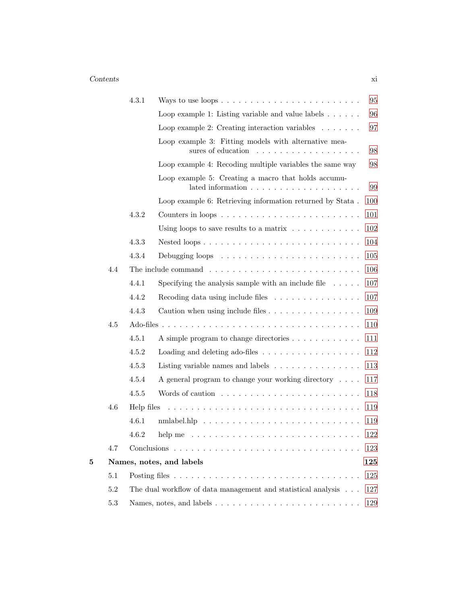## Contents xi

|   |         | 4.3.1      |                                                                                                                                                                                                                                                                                                                  | 95      |
|---|---------|------------|------------------------------------------------------------------------------------------------------------------------------------------------------------------------------------------------------------------------------------------------------------------------------------------------------------------|---------|
|   |         |            | Loop example 1: Listing variable and value labels $\ldots \ldots$                                                                                                                                                                                                                                                | 96      |
|   |         |            | Loop example 2: Creating interaction variables $\dots \dots$                                                                                                                                                                                                                                                     | 97      |
|   |         |            | Loop example 3: Fitting models with alternative mea-<br>sures of education<br>$\mathcal{A}$ . The set of the set of the set of the set of the set of the set of the set of the set of the set of the set of the set of the set of the set of the set of the set of the set of the set of the set of the set of t | 98      |
|   |         |            | Loop example 4: Recoding multiple variables the same way                                                                                                                                                                                                                                                         | 98      |
|   |         |            | Loop example 5: Creating a macro that holds accumu-<br>lated information $\ldots \ldots \ldots \ldots \ldots \ldots$                                                                                                                                                                                             | 99      |
|   |         |            | Loop example 6: Retrieving information returned by Stata.                                                                                                                                                                                                                                                        | 100     |
|   |         | 4.3.2      | Counters in loops $\dots \dots \dots \dots \dots \dots \dots \dots \dots \dots$                                                                                                                                                                                                                                  | 101     |
|   |         |            | Using loops to save results to a matrix $\ldots \ldots \ldots \ldots$                                                                                                                                                                                                                                            | 102     |
|   |         | 4.3.3      | Nested loops                                                                                                                                                                                                                                                                                                     | 104     |
|   |         | 4.3.4      | Debugging loops $\ldots \ldots \ldots \ldots \ldots \ldots \ldots \ldots$                                                                                                                                                                                                                                        | 105     |
|   | 4.4     |            |                                                                                                                                                                                                                                                                                                                  | 106     |
|   |         | 4.4.1      | Specifying the analysis sample with an include file $\dots$ .                                                                                                                                                                                                                                                    | 107     |
|   |         | 4.4.2      | Recoding data using include files                                                                                                                                                                                                                                                                                | 107     |
|   |         | 4.4.3      | Caution when using include files                                                                                                                                                                                                                                                                                 | 109     |
|   | 4.5     |            |                                                                                                                                                                                                                                                                                                                  | 110     |
|   |         | 4.5.1      | A simple program to change directories                                                                                                                                                                                                                                                                           | 111     |
|   |         | 4.5.2      | Loading and deleting ado-files $\ldots \ldots \ldots \ldots \ldots \ldots$                                                                                                                                                                                                                                       | 112     |
|   |         | 4.5.3      | Listing variable names and labels $\ldots \ldots \ldots \ldots \ldots$                                                                                                                                                                                                                                           | 113     |
|   |         | 4.5.4      | A general program to change your working directory $\dots$                                                                                                                                                                                                                                                       | 117     |
|   |         | 4.5.5      |                                                                                                                                                                                                                                                                                                                  | 118     |
|   | 4.6     | Help files |                                                                                                                                                                                                                                                                                                                  | 119     |
|   |         | 4.6.1      |                                                                                                                                                                                                                                                                                                                  | 119     |
|   |         | 4.6.2      |                                                                                                                                                                                                                                                                                                                  | $122\,$ |
|   | 4.7     |            |                                                                                                                                                                                                                                                                                                                  | 123     |
| 5 |         |            | Names, notes, and labels                                                                                                                                                                                                                                                                                         | 125     |
|   | $5.1\,$ |            |                                                                                                                                                                                                                                                                                                                  | 125     |
|   | $5.2\,$ |            | The dual workflow of data management and statistical analysis                                                                                                                                                                                                                                                    | 127     |
|   | $5.3\,$ |            |                                                                                                                                                                                                                                                                                                                  | 129     |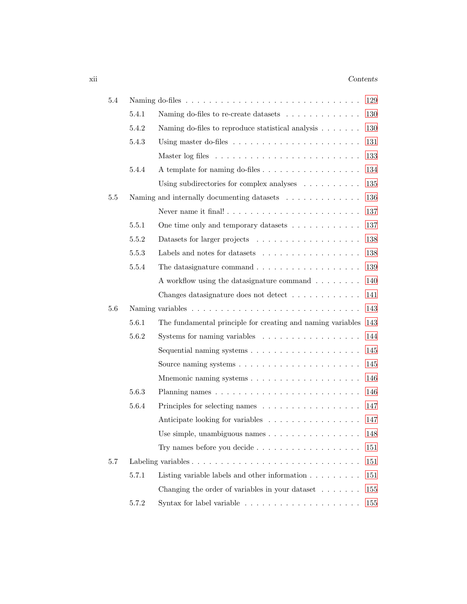## xii Contents

| 5.4     |       | Naming do-files $\ldots \ldots \ldots \ldots \ldots \ldots \ldots \ldots \ldots \ldots$ | 129 |
|---------|-------|-----------------------------------------------------------------------------------------|-----|
|         | 5.4.1 | Naming do-files to re-create datasets                                                   | 130 |
|         | 5.4.2 | Naming do-files to reproduce statistical analysis                                       | 130 |
|         | 5.4.3 |                                                                                         | 131 |
|         |       |                                                                                         | 133 |
|         | 5.4.4 | A template for naming do-files                                                          | 134 |
|         |       | Using subdirectories for complex analyses $\ldots \ldots \ldots$                        | 135 |
| $5.5\,$ |       | Naming and internally documenting datasets                                              | 136 |
|         |       |                                                                                         | 137 |
|         | 5.5.1 | One time only and temporary datasets                                                    | 137 |
|         | 5.5.2 |                                                                                         | 138 |
|         | 5.5.3 | Labels and notes for datasets $\dots \dots \dots \dots \dots \dots$                     | 138 |
|         | 5.5.4 | The data signature command $\ldots \ldots \ldots \ldots \ldots \ldots$                  | 139 |
|         |       | A workflow using the data signature command $\ldots \ldots$                             | 140 |
|         |       | Changes datasignature does not detect                                                   | 141 |
| $5.6\,$ |       |                                                                                         | 143 |
|         | 5.6.1 | The fundamental principle for creating and naming variables                             | 143 |
|         | 5.6.2 | Systems for naming variables $\dots \dots \dots \dots \dots \dots$                      | 144 |
|         |       |                                                                                         | 145 |
|         |       | Source naming systems $\dots \dots \dots \dots \dots \dots \dots \dots$                 | 145 |
|         |       |                                                                                         | 146 |
|         | 5.6.3 |                                                                                         | 146 |
|         | 5.6.4 | Principles for selecting names                                                          | 147 |
|         |       | Anticipate looking for variables                                                        | 147 |
|         |       | Use simple, unambiguous names $\dots \dots \dots \dots \dots \dots$                     | 148 |
|         |       |                                                                                         | 151 |
| 5.7     |       |                                                                                         | 151 |
|         | 5.7.1 | Listing variable labels and other information $\ldots \ldots \ldots$                    | 151 |
|         |       | Changing the order of variables in your dataset $\dots \dots$                           | 155 |
|         | 5.7.2 | Syntax for label variable $\ldots \ldots \ldots \ldots \ldots \ldots \ldots$            | 155 |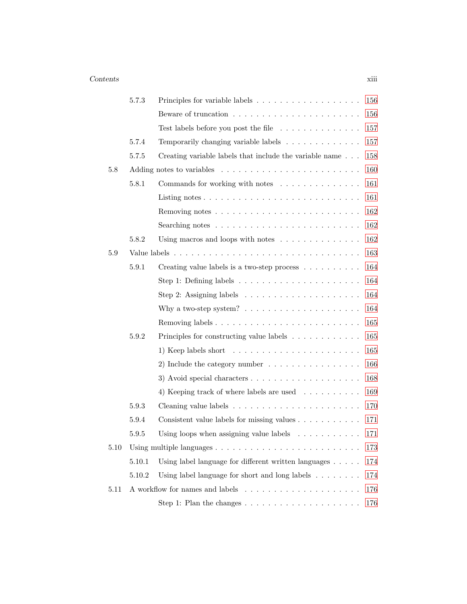|         | 5.7.3     |                                                                            | 156     |
|---------|-----------|----------------------------------------------------------------------------|---------|
|         |           |                                                                            | 156     |
|         |           | Test labels before you post the file $\ldots \ldots \ldots \ldots$         | 157     |
|         | 5.7.4     | Temporarily changing variable labels                                       | 157     |
|         | 5.7.5     | Creating variable labels that include the variable name                    | 158     |
| 5.8     |           |                                                                            | 160     |
|         | 5.8.1     | Commands for working with notes                                            | 161     |
|         |           |                                                                            | 161     |
|         |           |                                                                            | 162     |
|         |           |                                                                            | 162     |
|         | 5.8.2     | Using macros and loops with notes $\dots \dots \dots \dots$                | 162     |
| $5.9\,$ |           |                                                                            | 163     |
|         | 5.9.1     | Creating value labels is a two-step process $\dots \dots \dots$            | 164     |
|         |           | Step 1: Defining labels $\ldots \ldots \ldots \ldots \ldots \ldots \ldots$ | 164     |
|         |           | Step 2: Assigning labels $\dots \dots \dots \dots \dots \dots \dots$       | 164     |
|         |           | Why a two-step system? $\ldots \ldots \ldots \ldots \ldots \ldots \ldots$  | 164     |
|         |           |                                                                            | 165     |
|         | 5.9.2     | Principles for constructing value labels $\ldots \ldots \ldots \ldots$     | 165     |
|         |           | 1) Keep labels short $\dots \dots \dots \dots \dots \dots \dots \dots$     | $165\,$ |
|         |           | 2) Include the category number $\dots \dots \dots \dots \dots$             | 166     |
|         |           |                                                                            | 168     |
|         |           | 4) Keeping track of where labels are used $\ldots \ldots \ldots$           | 169     |
|         | $5.9.3\,$ |                                                                            | 170     |
|         | 5.9.4     | Consistent value labels for missing values $\ldots \ldots \ldots$          | 171     |
|         | 5.9.5     | Using loops when assigning value labels $\ldots \ldots \ldots$             | 171     |
| 5.10    |           |                                                                            | 173     |
|         | 5.10.1    | Using label language for different written languages                       | 174     |
|         | 5.10.2    | Using label language for short and long labels $\ldots \ldots$             | 174     |
| 5.11    |           |                                                                            | 176     |
|         |           | Step 1: Plan the changes $\dots \dots \dots \dots \dots \dots \dots \dots$ | 176     |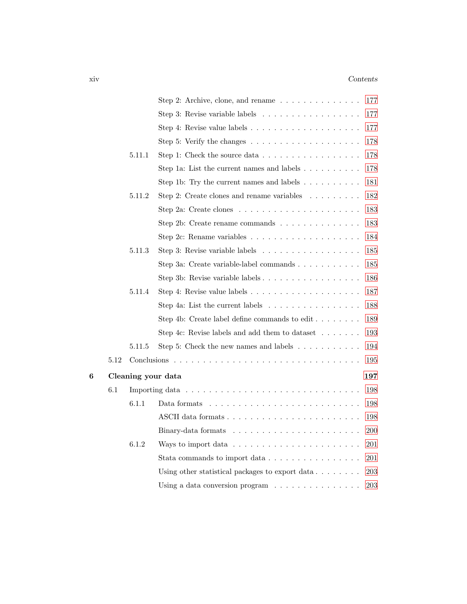## xiv Contents

|   |      |                    | Step 2: Archive, clone, and rename $\dots \dots \dots \dots$              | 177     |
|---|------|--------------------|---------------------------------------------------------------------------|---------|
|   |      |                    | Step 3: Revise variable labels                                            | 177     |
|   |      |                    | Step 4: Revise value labels $\dots \dots \dots \dots \dots \dots \dots$   | 177     |
|   |      |                    | Step 5: Verify the changes $\dots \dots \dots \dots \dots \dots \dots$    | 178     |
|   |      | 5.11.1             | Step 1: Check the source data $\ldots \ldots \ldots \ldots \ldots$        | 178     |
|   |      |                    | Step 1a: List the current names and labels $\ldots \ldots \ldots$         | 178     |
|   |      |                    | Step 1b: Try the current names and labels $\dots \dots \dots$             | 181     |
|   |      | 5.11.2             | Step 2: Create clones and rename variables $\ldots \ldots \ldots$         | 182     |
|   |      |                    | Step 2a: Create clones $\ldots \ldots \ldots \ldots \ldots \ldots \ldots$ | 183     |
|   |      |                    | Step 2b: Create rename commands $\ldots \ldots \ldots \ldots \ldots$      | 183     |
|   |      |                    | Step 2c: Rename variables $\ldots \ldots \ldots \ldots \ldots \ldots$     | 184     |
|   |      | 5.11.3             | Step 3: Revise variable labels $\ldots \ldots \ldots \ldots \ldots$       | $185\,$ |
|   |      |                    | Step 3a: Create variable-label commands $\ldots \ldots \ldots$            | 185     |
|   |      |                    | Step 3b: Revise variable labels $\dots \dots \dots \dots \dots \dots$     | 186     |
|   |      | 5.11.4             |                                                                           | 187     |
|   |      |                    | Step 4a: List the current labels $\ldots \ldots \ldots \ldots \ldots$     | 188     |
|   |      |                    | Step 4b: Create label define commands to edit $\dots \dots$               | 189     |
|   |      |                    | Step 4c: Revise labels and add them to dataset $\dots \dots$              | 193     |
|   |      | 5.11.5             | Step 5: Check the new names and labels $\ldots \ldots \ldots$             | 194     |
|   | 5.12 |                    |                                                                           | $195\,$ |
| 6 |      | Cleaning your data |                                                                           | 197     |
|   | 6.1  |                    |                                                                           | 198     |
|   |      | 6.1.1              | Data formats                                                              | 198     |
|   |      |                    |                                                                           | 198     |
|   |      |                    |                                                                           | 200     |
|   |      | 6.1.2              |                                                                           | 201     |
|   |      |                    | Stata commands to import data $\ldots \ldots \ldots \ldots \ldots$        | 201     |
|   |      |                    | Using other statistical packages to export data $\ldots \ldots$           | $203\,$ |
|   |      |                    | Using a data conversion program $\dots \dots \dots \dots \dots$           | 203     |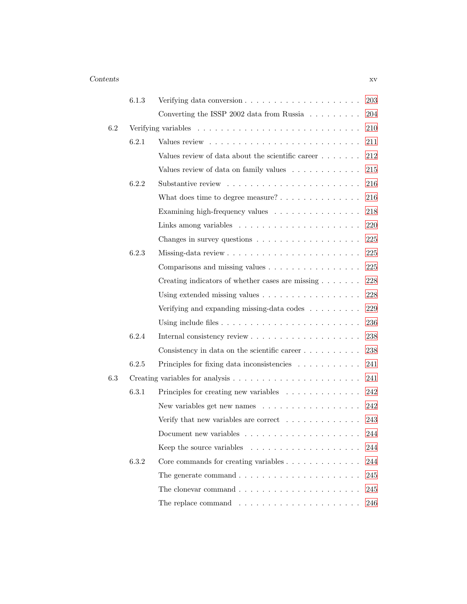## Contents xv

|     | 6.1.3 | 203<br>Verifying data conversion $\ldots \ldots \ldots \ldots \ldots \ldots \ldots$ |
|-----|-------|-------------------------------------------------------------------------------------|
|     |       | 204<br>Converting the ISSP 2002 data from Russia $\ldots \ldots \ldots$             |
| 6.2 |       | 210                                                                                 |
|     | 6.2.1 | 211                                                                                 |
|     |       | 212<br>Values review of data about the scientific career $\dots \dots$              |
|     |       | 215<br>Values review of data on family values                                       |
|     | 6.2.2 | 216                                                                                 |
|     |       | What does time to degree measure? $\ldots \ldots \ldots \ldots$<br>216              |
|     |       | Examining high-frequency values<br>218                                              |
|     |       | Links among variables $\ldots \ldots \ldots \ldots \ldots \ldots$<br>220            |
|     |       | 225                                                                                 |
|     | 6.2.3 | 225                                                                                 |
|     |       | 225<br>Comparisons and missing values                                               |
|     |       | Creating indicators of whether cases are missing<br>228                             |
|     |       | 228<br>Using extended missing values                                                |
|     |       | 229<br>Verifying and expanding missing-data codes $\ldots \ldots \ldots$            |
|     |       | 236                                                                                 |
|     | 6.2.4 | 238                                                                                 |
|     |       | 238<br>Consistency in data on the scientific career                                 |
|     | 6.2.5 | Principles for fixing data inconsistencies<br>241                                   |
| 6.3 |       | 241                                                                                 |
|     | 6.3.1 | 242<br>Principles for creating new variables $\ldots \ldots \ldots \ldots$          |
|     |       | 242<br>New variables get new names $\dots \dots \dots \dots \dots \dots$            |
|     |       | Verify that new variables are correct $\ldots \ldots \ldots \ldots$<br>243          |
|     |       | 244<br>Document new variables $\dots \dots \dots \dots \dots \dots \dots$           |
|     |       | Keep the source variables $\dots \dots \dots \dots \dots \dots$<br>244              |
|     | 6.3.2 | Core commands for creating variables<br>244                                         |
|     |       | 245<br>The generate command $\ldots \ldots \ldots \ldots \ldots \ldots \ldots$      |
|     |       | The clone var command $\ldots \ldots \ldots \ldots \ldots \ldots \ldots$<br>245     |
|     |       | 246<br>The replace command $\ldots \ldots \ldots \ldots \ldots \ldots \ldots$       |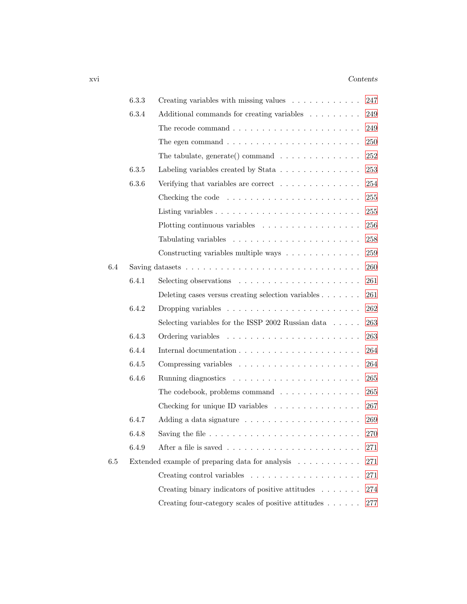## xvi Contents

|     | 6.3.3 | Creating variables with missing values                                     | 247 |
|-----|-------|----------------------------------------------------------------------------|-----|
|     | 6.3.4 | Additional commands for creating variables                                 | 249 |
|     |       |                                                                            | 249 |
|     |       | The egen command $\ldots \ldots \ldots \ldots \ldots \ldots \ldots \ldots$ | 250 |
|     |       | The tabulate, generate() command $\ldots \ldots \ldots \ldots$             | 252 |
|     | 6.3.5 | Labeling variables created by Stata                                        | 253 |
|     | 6.3.6 | Verifying that variables are correct $\ldots \ldots \ldots \ldots$         | 254 |
|     |       | Checking the code $\dots \dots \dots \dots \dots \dots \dots \dots \dots$  | 255 |
|     |       |                                                                            | 255 |
|     |       | Plotting continuous variables                                              | 256 |
|     |       |                                                                            | 258 |
|     |       | Constructing variables multiple ways $\ldots \ldots \ldots \ldots$         | 259 |
| 6.4 |       |                                                                            | 260 |
|     | 6.4.1 | Selecting observations $\ldots \ldots \ldots \ldots \ldots \ldots \ldots$  | 261 |
|     |       | Deleting cases versus creating selection variables                         | 261 |
|     | 6.4.2 |                                                                            | 262 |
|     |       | Selecting variables for the ISSP 2002 Russian data $\ldots$ .              | 263 |
|     | 6.4.3 |                                                                            | 263 |
|     | 6.4.4 |                                                                            | 264 |
|     | 6.4.5 |                                                                            | 264 |
|     | 6.4.6 |                                                                            | 265 |
|     |       | The codebook, problems command $\ldots \ldots \ldots \ldots \ldots$        | 265 |
|     |       | Checking for unique ID variables $\dots \dots \dots \dots \dots$           | 267 |
|     | 6.4.7 |                                                                            | 269 |
|     | 6.4.8 | Saving the file $\ldots \ldots \ldots \ldots \ldots \ldots \ldots \ldots$  | 270 |
|     | 6.4.9 |                                                                            | 271 |
| 6.5 |       | Extended example of preparing data for analysis $\dots \dots \dots$        | 271 |
|     |       |                                                                            | 271 |
|     |       | Creating binary indicators of positive attitudes $\ldots \ldots$           | 274 |
|     |       | Creating four-category scales of positive attitudes                        | 277 |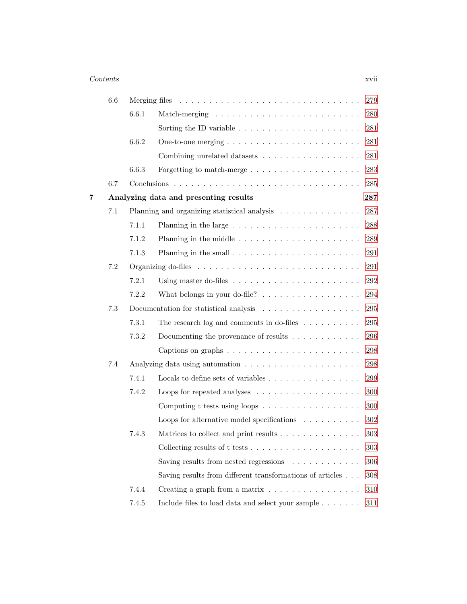## Contents xvii

|   | 6.6 |       |                                                                              | 279     |
|---|-----|-------|------------------------------------------------------------------------------|---------|
|   |     | 6.6.1 |                                                                              | 280     |
|   |     |       | Sorting the ID variable $\ldots \ldots \ldots \ldots \ldots \ldots \ldots$   | 281     |
|   |     | 6.6.2 | One-to-one merging $\ldots \ldots \ldots \ldots \ldots \ldots \ldots \ldots$ | $281\,$ |
|   |     |       | Combining unrelated datasets                                                 | 281     |
|   |     | 6.6.3 | Forgetting to match-merge $\dots \dots \dots \dots \dots \dots \dots$        | 283     |
|   | 6.7 |       |                                                                              | 285     |
| 7 |     |       | Analyzing data and presenting results                                        | 287     |
|   | 7.1 |       | Planning and organizing statistical analysis                                 | 287     |
|   |     | 7.1.1 |                                                                              | 288     |
|   |     | 7.1.2 | Planning in the middle $\dots \dots \dots \dots \dots \dots \dots \dots$     | 289     |
|   |     | 7.1.3 | Planning in the small $\ldots \ldots \ldots \ldots \ldots \ldots \ldots$     | 291     |
|   | 7.2 |       |                                                                              | 291     |
|   |     | 7.2.1 | Using master do-files $\ldots \ldots \ldots \ldots \ldots \ldots \ldots$     | $\,292$ |
|   |     | 7.2.2 | What belongs in your do-file? $\ldots \ldots \ldots \ldots \ldots$           | 294     |
|   | 7.3 |       | Documentation for statistical analysis                                       | $\,295$ |
|   |     | 7.3.1 | The research log and comments in do-files $\dots \dots \dots$                | $\,295$ |
|   |     | 7.3.2 | Documenting the provenance of results $\ldots \ldots \ldots \ldots$          | 296     |
|   |     |       | Captions on graphs $\ldots \ldots \ldots \ldots \ldots \ldots \ldots$        | $\,298$ |
|   | 7.4 |       |                                                                              | 298     |
|   |     | 7.4.1 | Locals to define sets of variables                                           | $\,299$ |
|   |     | 7.4.2 | Loops for repeated analyses $\dots \dots \dots \dots \dots \dots$            | 300     |
|   |     |       | Computing t tests using loops $\ldots \ldots \ldots \ldots \ldots$           | 300     |
|   |     |       | Loops for alternative model specifications $\ldots \ldots \ldots$            | 302     |
|   |     | 7.4.3 | Matrices to collect and print results                                        | $303\,$ |
|   |     |       |                                                                              | 303     |
|   |     |       | Saving results from nested regressions $\ldots \ldots \ldots$                | 306     |
|   |     |       | Saving results from different transformations of articles                    | 308     |
|   |     | 7.4.4 | Creating a graph from a matrix $\ldots \ldots \ldots \ldots \ldots$          | 310     |
|   |     | 7.4.5 | Include files to load data and select your sample $\ldots \ldots$            | 311     |
|   |     |       |                                                                              |         |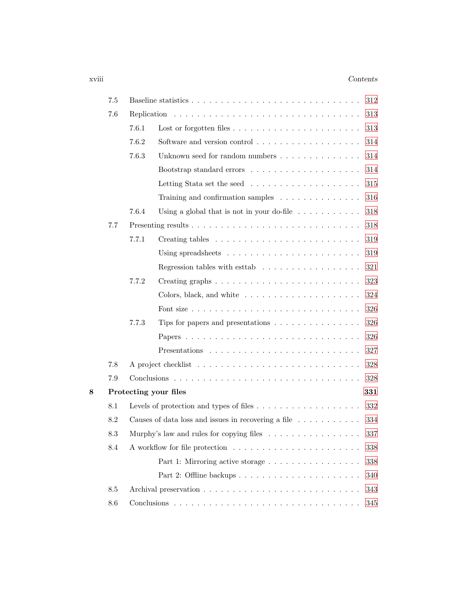## xviii Contents

|   | 7.5 |                                                                                | 312                                                                                     |  |  |
|---|-----|--------------------------------------------------------------------------------|-----------------------------------------------------------------------------------------|--|--|
|   | 7.6 |                                                                                | 313                                                                                     |  |  |
|   |     | 7.6.1                                                                          | $313\,$<br>Lost or forgotten files $\ldots \ldots \ldots \ldots \ldots \ldots \ldots$   |  |  |
|   |     | 7.6.2                                                                          | 314                                                                                     |  |  |
|   |     | 7.6.3                                                                          | 314                                                                                     |  |  |
|   |     |                                                                                | 314                                                                                     |  |  |
|   |     |                                                                                | Letting Stata set the seed $\ldots \ldots \ldots \ldots \ldots \ldots$<br>315           |  |  |
|   |     |                                                                                | Training and confirmation samples $\ldots \ldots \ldots \ldots$<br>316                  |  |  |
|   |     | 7.6.4                                                                          | Using a global that is not in your do-file $\dots \dots \dots$<br>318                   |  |  |
|   | 7.7 |                                                                                | 318                                                                                     |  |  |
|   |     | 7.7.1                                                                          | 319<br>Creating tables $\dots \dots \dots \dots \dots \dots \dots \dots \dots \dots$    |  |  |
|   |     |                                                                                | 319<br>Using spreadsheets $\ldots \ldots \ldots \ldots \ldots \ldots \ldots$            |  |  |
|   |     |                                                                                | 321<br>Regression tables with esttab $\ldots \ldots \ldots \ldots \ldots$               |  |  |
|   |     | 7.7.2                                                                          | 323<br>Creating graphs $\ldots \ldots \ldots \ldots \ldots \ldots \ldots \ldots \ldots$ |  |  |
|   |     |                                                                                | 324<br>Colors, black, and white $\dots \dots \dots \dots \dots \dots \dots$             |  |  |
|   |     |                                                                                | 326                                                                                     |  |  |
|   |     | 7.7.3                                                                          | 326<br>Tips for papers and presentations $\dots \dots \dots \dots \dots$                |  |  |
|   |     |                                                                                | 326                                                                                     |  |  |
|   |     |                                                                                | 327                                                                                     |  |  |
|   | 7.8 |                                                                                | 328                                                                                     |  |  |
|   | 7.9 |                                                                                |                                                                                         |  |  |
| 8 |     |                                                                                | Protecting your files<br>331                                                            |  |  |
|   | 8.1 |                                                                                | Levels of protection and types of files $\dots \dots \dots \dots \dots \dots$<br>332    |  |  |
|   | 8.2 | Causes of data loss and issues in recovering a file $\dots \dots \dots$<br>334 |                                                                                         |  |  |
|   | 8.3 |                                                                                | Murphy's law and rules for copying files $\dots \dots \dots \dots \dots$<br>337         |  |  |
|   | 8.4 |                                                                                |                                                                                         |  |  |
|   |     |                                                                                | Part 1: Mirroring active storage<br>338                                                 |  |  |
|   |     |                                                                                | 340                                                                                     |  |  |
|   | 8.5 |                                                                                | 343                                                                                     |  |  |
|   | 8.6 |                                                                                | 345                                                                                     |  |  |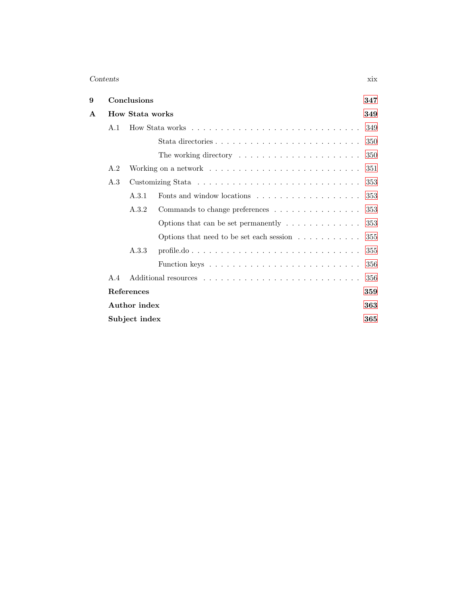| XIX |
|-----|
|     |

| Conclusions   |                 |                                                                                       |     |  |  |  |
|---------------|-----------------|---------------------------------------------------------------------------------------|-----|--|--|--|
|               | How Stata works |                                                                                       |     |  |  |  |
| A.1           |                 |                                                                                       | 349 |  |  |  |
|               |                 |                                                                                       | 350 |  |  |  |
|               |                 | The working directory $\dots \dots \dots \dots \dots \dots \dots \dots$               | 350 |  |  |  |
| A.2           |                 | Working on a network $\ldots \ldots \ldots \ldots \ldots \ldots \ldots \ldots \ldots$ | 351 |  |  |  |
| A.3           |                 |                                                                                       | 353 |  |  |  |
|               | A.3.1           |                                                                                       | 353 |  |  |  |
|               | A.3.2           | Commands to change preferences $\dots \dots \dots \dots \dots$                        | 353 |  |  |  |
|               |                 | Options that can be set permanently $\dots \dots \dots \dots$                         | 353 |  |  |  |
|               |                 | Options that need to be set each session $\ldots \ldots \ldots$                       | 355 |  |  |  |
|               | A.3.3           |                                                                                       | 355 |  |  |  |
|               |                 |                                                                                       | 356 |  |  |  |
| A.4           |                 |                                                                                       | 356 |  |  |  |
| References    |                 |                                                                                       |     |  |  |  |
| Author index  |                 |                                                                                       |     |  |  |  |
| Subject index |                 |                                                                                       |     |  |  |  |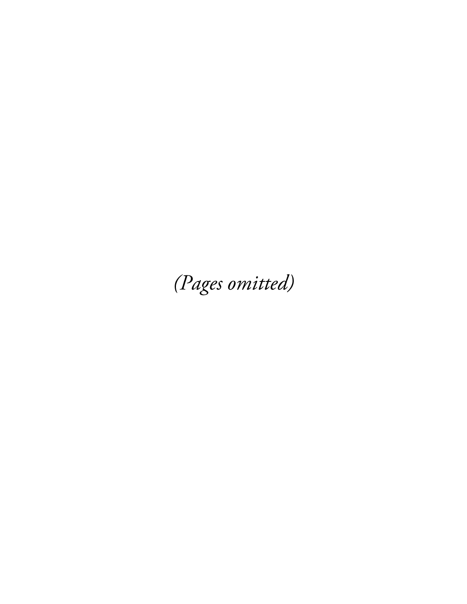(Pages omitted)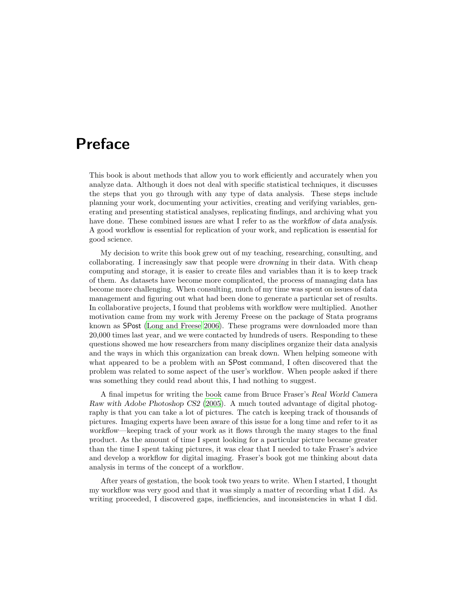## Preface

This book is about methods that allow you to work efficiently and accurately when you analyze data. Although it does not deal with specific statistical techniques, it discusses the steps that you go through with any type of data analysis. These steps include planning your work, documenting your activities, creating and verifying variables, generating and presenting statistical analyses, replicating findings, and archiving what you have done. These combined issues are what I refer to as the workflow of data analysis. A good workflow is essential for replication of your work, and replication is essential for good science.

My decision to write this book grew out of my teaching, researching, consulting, and collaborating. I increasingly saw that people were drowning in their data. With cheap computing and storage, it is easier to create files and variables than it is to keep track of them. As datasets have become more complicated, the process of managing data has become more challenging. When consulting, much of my time was spent on issues of data management and figuring out what had been done to generate a particular set of results. In collaborative projects, I found that problems with workflow were multiplied. Another motivation came from my work with Jeremy Freese on the package of Stata programs known as SPost (Long and Freese 2006). These programs were downloaded more than 20,000 times last year, and we were contacted by hundreds of users. Responding to these questions showed me how researchers from many disciplines organize their data analysis and the ways in which this organization can break down. When helping someone with what appeared to be a problem with an SPost command, I often discovered that the problem was related to some aspect of the user's workflow. When people asked if there was something they could read about this, I had nothing to suggest.

A final impetus for writing the book came from Bruce Fraser's Real World Camera Raw with Adobe Photoshop CS2 (2005). A much touted advantage of digital photography is that you can take a lot of pictures. The catch is keeping track of thousands of pictures. Imaging experts have been aware of this issue for a long time and refer to it as workflow—keeping track of your work as it flows through the many stages to the final product. As the amount of time I spent looking for a particular picture became greater than the time I spent taking pictures, it was clear that I needed to take Fraser's advice and develop a workflow for digital imaging. Fraser's book got me thinking about data analysis in terms of the concept of a workflow.

After years of gestation, the book took two years to write. When I started, I thought my workflow was very good and that it was simply a matter of recording what I did. As writing proceeded, I discovered gaps, inefficiencies, and inconsistencies in what I did.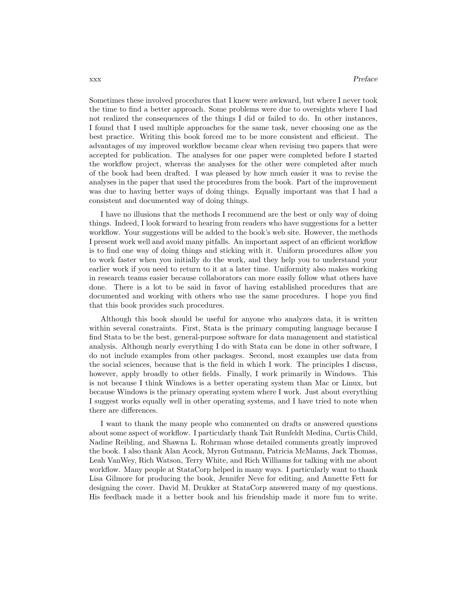Sometimes these involved procedures that I knew were awkward, but where I never took the time to find a better approach. Some problems were due to oversights where I had not realized the consequences of the things I did or failed to do. In other instances, I found that I used multiple approaches for the same task, never choosing one as the best practice. Writing this book forced me to be more consistent and efficient. The advantages of my improved workflow became clear when revising two papers that were accepted for publication. The analyses for one paper were completed before I started the workflow project, whereas the analyses for the other were completed after much of the book had been drafted. I was pleased by how much easier it was to revise the analyses in the paper that used the procedures from the book. Part of the improvement was due to having better ways of doing things. Equally important was that I had a consistent and documented way of doing things.

I have no illusions that the methods I recommend are the best or only way of doing things. Indeed, I look forward to hearing from readers who have suggestions for a better workflow. Your suggestions will be added to the book's web site. However, the methods I present work well and avoid many pitfalls. An important aspect of an efficient workflow is to find one way of doing things and sticking with it. Uniform procedures allow you to work faster when you initially do the work, and they help you to understand your earlier work if you need to return to it at a later time. Uniformity also makes working in research teams easier because collaborators can more easily follow what others have done. There is a lot to be said in favor of having established procedures that are documented and working with others who use the same procedures. I hope you find that this book provides such procedures.

Although this book should be useful for anyone who analyzes data, it is written within several constraints. First, Stata is the primary computing language because I find Stata to be the best, general-purpose software for data management and statistical analysis. Although nearly everything I do with Stata can be done in other software, I do not include examples from other packages. Second, most examples use data from the social sciences, because that is the field in which I work. The principles I discuss, however, apply broadly to other fields. Finally, I work primarily in Windows. This is not because I think Windows is a better operating system than Mac or Linux, but because Windows is the primary operating system where I work. Just about everything I suggest works equally well in other operating systems, and I have tried to note when there are differences.

I want to thank the many people who commented on drafts or answered questions about some aspect of workflow. I particularly thank Tait Runfeldt Medina, Curtis Child, Nadine Reibling, and Shawna L. Rohrman whose detailed comments greatly improved the book. I also thank Alan Acock, Myron Gutmann, Patricia McManus, Jack Thomas, Leah VanWey, Rich Watson, Terry White, and Rich Williams for talking with me about workflow. Many people at StataCorp helped in many ways. I particularly want to thank Lisa Gilmore for producing the book, Jennifer Neve for editing, and Annette Fett for designing the cover. David M. Drukker at StataCorp answered many of my questions. His feedback made it a better book and his friendship made it more fun to write.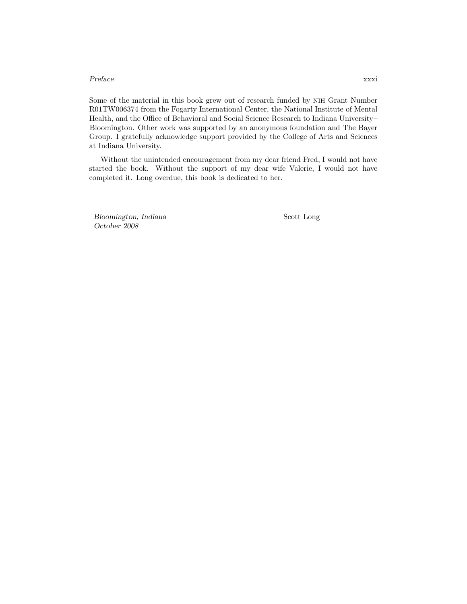#### Preface xxxi

Some of the material in this book grew out of research funded by NIH Grant Number R01TW006374 from the Fogarty International Center, the National Institute of Mental Health, and the Office of Behavioral and Social Science Research to Indiana University– Bloomington. Other work was supported by an anonymous foundation and The Bayer Group. I gratefully acknowledge support provided by the College of Arts and Sciences at Indiana University.

Without the unintended encouragement from my dear friend Fred, I would not have started the book. Without the support of my dear wife Valerie, I would not have completed it. Long overdue, this book is dedicated to her.

Bloomington, Indiana Scott Long October 2008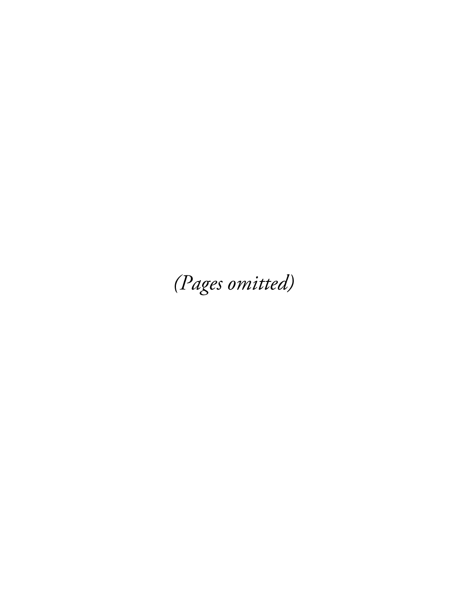(Pages omitted)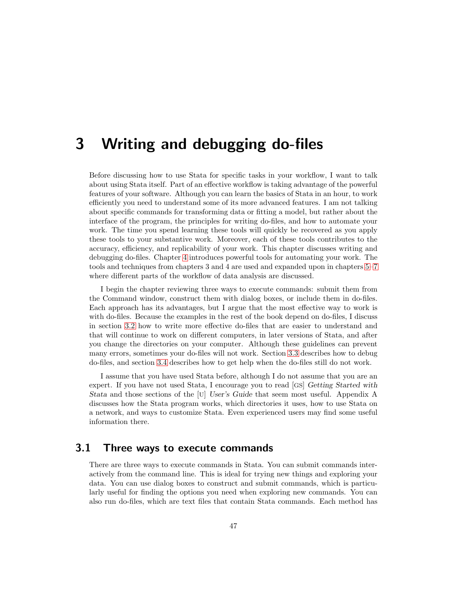## 3 Writing and debugging do-files

Before discussing how to use Stata for specific tasks in your workflow, I want to talk about using Stata itself. Part of an effective workflow is taking advantage of the powerful features of your software. Although you can learn the basics of Stata in an hour, to work efficiently you need to understand some of its more advanced features. I am not talking about specific commands for transforming data or fitting a model, but rather about the interface of the program, the principles for writing do-files, and how to automate your work. The time you spend learning these tools will quickly be recovered as you apply these tools to your substantive work. Moreover, each of these tools contributes to the accuracy, efficiency, and replicability of your work. This chapter discusses writing and debugging do-files. Chapter 4 introduces powerful tools for automating your work. The tools and techniques from chapters 3 and 4 are used and expanded upon in chapters 5–7 where different parts of the workflow of data analysis are discussed.

I begin the chapter reviewing three ways to execute commands: submit them from the Command window, construct them with dialog boxes, or include them in do-files. Each approach has its advantages, but I argue that the most effective way to work is with do-files. Because the examples in the rest of the book depend on do-files, I discuss in section 3.2 how to write more effective do-files that are easier to understand and that will continue to work on different computers, in later versions of Stata, and after you change the directories on your computer. Although these guidelines can prevent many errors, sometimes your do-files will not work. Section 3.3 describes how to debug do-files, and section 3.4 describes how to get help when the do-files still do not work.

I assume that you have used Stata before, although I do not assume that you are an expert. If you have not used Stata, I encourage you to read [GS] Getting Started with Stata and those sections of the [U] User's Guide that seem most useful. Appendix A discusses how the Stata program works, which directories it uses, how to use Stata on a network, and ways to customize Stata. Even experienced users may find some useful information there.

## 3.1 Three ways to execute commands

There are three ways to execute commands in Stata. You can submit commands interactively from the command line. This is ideal for trying new things and exploring your data. You can use dialog boxes to construct and submit commands, which is particularly useful for finding the options you need when exploring new commands. You can also run do-files, which are text files that contain Stata commands. Each method has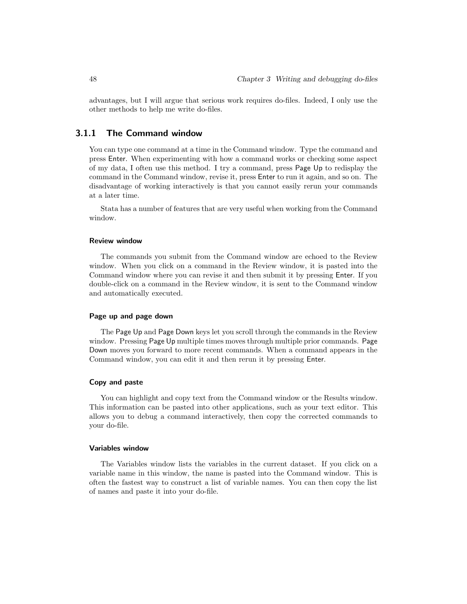advantages, but I will argue that serious work requires do-files. Indeed, I only use the other methods to help me write do-files.

## 3.1.1 The Command window

You can type one command at a time in the Command window. Type the command and press Enter. When experimenting with how a command works or checking some aspect of my data, I often use this method. I try a command, press Page Up to redisplay the command in the Command window, revise it, press Enter to run it again, and so on. The disadvantage of working interactively is that you cannot easily rerun your commands at a later time.

Stata has a number of features that are very useful when working from the Command window.

#### Review window

The commands you submit from the Command window are echoed to the Review window. When you click on a command in the Review window, it is pasted into the Command window where you can revise it and then submit it by pressing Enter. If you double-click on a command in the Review window, it is sent to the Command window and automatically executed.

#### Page up and page down

The Page Up and Page Down keys let you scroll through the commands in the Review window. Pressing Page Up multiple times moves through multiple prior commands. Page Down moves you forward to more recent commands. When a command appears in the Command window, you can edit it and then rerun it by pressing Enter.

### Copy and paste

You can highlight and copy text from the Command window or the Results window. This information can be pasted into other applications, such as your text editor. This allows you to debug a command interactively, then copy the corrected commands to your do-file.

#### Variables window

The Variables window lists the variables in the current dataset. If you click on a variable name in this window, the name is pasted into the Command window. This is often the fastest way to construct a list of variable names. You can then copy the list of names and paste it into your do-file.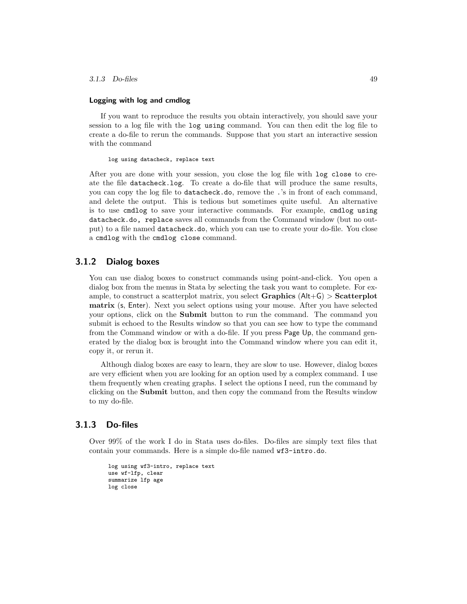#### Logging with log and cmdlog

If you want to reproduce the results you obtain interactively, you should save your session to a log file with the log using command. You can then edit the log file to create a do-file to rerun the commands. Suppose that you start an interactive session with the command

log using datacheck, replace text

After you are done with your session, you close the log file with log close to create the file datacheck.log. To create a do-file that will produce the same results, you can copy the log file to datacheck.do, remove the .'s in front of each command, and delete the output. This is tedious but sometimes quite useful. An alternative is to use cmdlog to save your interactive commands. For example, cmdlog using datacheck.do, replace saves all commands from the Command window (but no output) to a file named datacheck.do, which you can use to create your do-file. You close a cmdlog with the cmdlog close command.

## 3.1.2 Dialog boxes

You can use dialog boxes to construct commands using point-and-click. You open a dialog box from the menus in Stata by selecting the task you want to complete. For example, to construct a scatterplot matrix, you select **Graphics**  $(Alt+G) >$  **Scatterplot** matrix (s, Enter). Next you select options using your mouse. After you have selected your options, click on the Submit button to run the command. The command you submit is echoed to the Results window so that you can see how to type the command from the Command window or with a do-file. If you press Page Up, the command generated by the dialog box is brought into the Command window where you can edit it, copy it, or rerun it.

Although dialog boxes are easy to learn, they are slow to use. However, dialog boxes are very efficient when you are looking for an option used by a complex command. I use them frequently when creating graphs. I select the options I need, run the command by clicking on the Submit button, and then copy the command from the Results window to my do-file.

## 3.1.3 Do-files

Over 99% of the work I do in Stata uses do-files. Do-files are simply text files that contain your commands. Here is a simple do-file named wf3-intro.do.

```
log using wf3-intro, replace text
use wf-lfp, clear
summarize lfp age
log close
```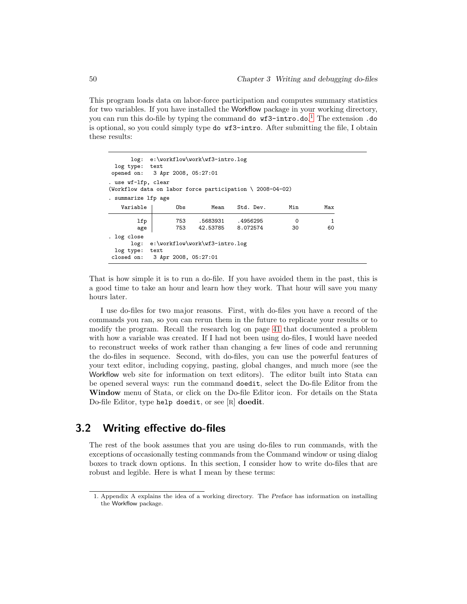This program loads data on labor-force participation and computes summary statistics for two variables. If you have installed the Workflow package in your working directory, you can run this do-file by typing the command do wf3-intro.do.<sup>1</sup> The extension .do is optional, so you could simply type do wf3-intro. After submitting the file, I obtain these results:

| log type: text                                                                                                | log: e:\workflow\work\wf3-intro.log<br>opened on: 3 Apr 2008, 05:27:01 |          |                                                              |          |     |  |
|---------------------------------------------------------------------------------------------------------------|------------------------------------------------------------------------|----------|--------------------------------------------------------------|----------|-----|--|
| . use wf-lfp, clear                                                                                           |                                                                        |          | (Workflow data on labor force participation \ $2008-04-02$ ) |          |     |  |
| . summarize lfp age                                                                                           |                                                                        |          |                                                              |          |     |  |
| Variable                                                                                                      | Obs                                                                    | Mean     | Std. Dev.                                                    | Min      | Max |  |
| lfp                                                                                                           | 753                                                                    | .5683931 | .4956295                                                     | $\Omega$ |     |  |
| age                                                                                                           | 753                                                                    | 42.53785 | 8.072574                                                     | 30       | 60  |  |
| . log close<br>e:\workflow\work\wf3-intro.log<br>log:<br>log type:<br>text<br>closed on: 3 Apr 2008, 05:27:01 |                                                                        |          |                                                              |          |     |  |

That is how simple it is to run a do-file. If you have avoided them in the past, this is a good time to take an hour and learn how they work. That hour will save you many hours later.

I use do-files for two major reasons. First, with do-files you have a record of the commands you ran, so you can rerun them in the future to replicate your results or to modify the program. Recall the research log on page 41 that documented a problem with how a variable was created. If I had not been using do-files, I would have needed to reconstruct weeks of work rather than changing a few lines of code and rerunning the do-files in sequence. Second, with do-files, you can use the powerful features of your text editor, including copying, pasting, global changes, and much more (see the Workflow web site for information on text editors). The editor built into Stata can be opened several ways: run the command doedit, select the Do-file Editor from the Window menu of Stata, or click on the Do-file Editor icon. For details on the Stata Do-file Editor, type help doedit, or see [R] doedit.

## 3.2 Writing effective do-files

The rest of the book assumes that you are using do-files to run commands, with the exceptions of occasionally testing commands from the Command window or using dialog boxes to track down options. In this section, I consider how to write do-files that are robust and legible. Here is what I mean by these terms:

<sup>1.</sup> Appendix A explains the idea of a working directory. The Preface has information on installing the Workflow package.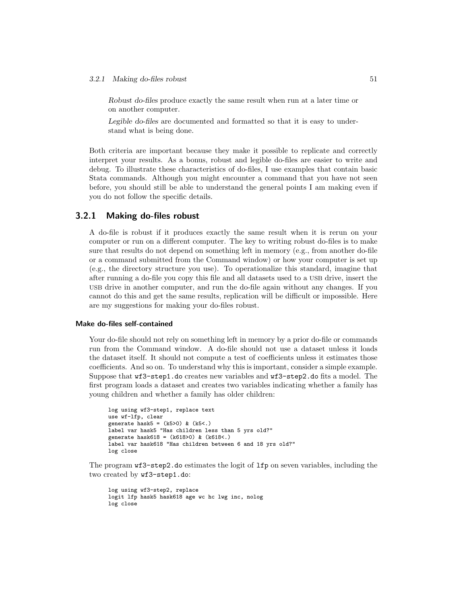#### 3.2.1 Making do-files robust 51

Robust do-files produce exactly the same result when run at a later time or on another computer.

Legible do-files are documented and formatted so that it is easy to understand what is being done.

Both criteria are important because they make it possible to replicate and correctly interpret your results. As a bonus, robust and legible do-files are easier to write and debug. To illustrate these characteristics of do-files, I use examples that contain basic Stata commands. Although you might encounter a command that you have not seen before, you should still be able to understand the general points I am making even if you do not follow the specific details.

## 3.2.1 Making do-files robust

A do-file is robust if it produces exactly the same result when it is rerun on your computer or run on a different computer. The key to writing robust do-files is to make sure that results do not depend on something left in memory (e.g., from another do-file or a command submitted from the Command window) or how your computer is set up (e.g., the directory structure you use). To operationalize this standard, imagine that after running a do-file you copy this file and all datasets used to a USB drive, insert the USB drive in another computer, and run the do-file again without any changes. If you cannot do this and get the same results, replication will be difficult or impossible. Here are my suggestions for making your do-files robust.

#### Make do-files self-contained

Your do-file should not rely on something left in memory by a prior do-file or commands run from the Command window. A do-file should not use a dataset unless it loads the dataset itself. It should not compute a test of coefficients unless it estimates those coefficients. And so on. To understand why this is important, consider a simple example. Suppose that wf3-step1.do creates new variables and wf3-step2.do fits a model. The first program loads a dataset and creates two variables indicating whether a family has young children and whether a family has older children:

```
log using wf3-step1, replace text
use wf-lfp, clear
generate hask5 = (k5>0) & (k5<.)label var hask5 "Has children less than 5 yrs old?"
generate hask618 = (k618>0) & (k618<.)
label var hask618 "Has children between 6 and 18 yrs old?"
log close
```
The program wf3-step2.do estimates the logit of lfp on seven variables, including the two created by wf3-step1.do:

```
log using wf3-step2, replace
logit lfp hask5 hask618 age wc hc lwg inc, nolog
log close
```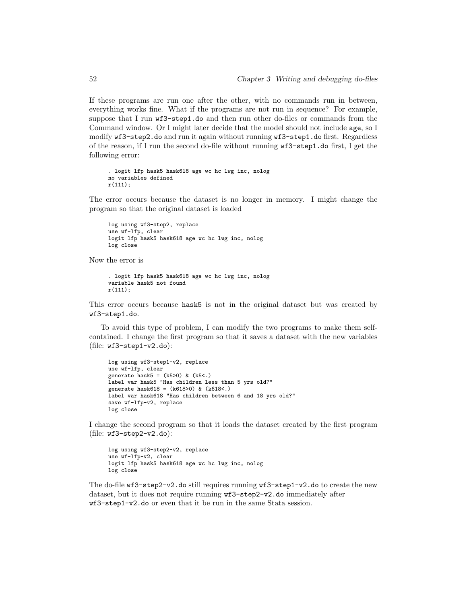If these programs are run one after the other, with no commands run in between, everything works fine. What if the programs are not run in sequence? For example, suppose that I run wf3-step1.do and then run other do-files or commands from the Command window. Or I might later decide that the model should not include age, so I modify wf3-step2.do and run it again without running wf3-step1.do first. Regardless of the reason, if I run the second do-file without running wf3-step1.do first, I get the following error:

```
. logit lfp hask5 hask618 age wc hc lwg inc, nolog
no variables defined
r(111):
```
The error occurs because the dataset is no longer in memory. I might change the program so that the original dataset is loaded

```
log using wf3-step2, replace
use wf-lfp, clear
logit lfp hask5 hask618 age wc hc lwg inc, nolog
log close
```
Now the error is

```
. logit lfp hask5 hask618 age wc hc lwg inc, nolog
variable hask5 not found
r(111);
```
This error occurs because hask5 is not in the original dataset but was created by wf3-step1.do.

To avoid this type of problem, I can modify the two programs to make them selfcontained. I change the first program so that it saves a dataset with the new variables (file: wf3-step1-v2.do):

```
log using wf3-step1-v2, replace
use wf-lfp, clear
generate hask5 = (k5>0) & (k5<.)
label var hask5 "Has children less than 5 yrs old?"
generate hask618 = (k618>0) & (k618<.)
label var hask618 "Has children between 6 and 18 yrs old?"
save wf-lfp-v2, replace
log close
```
I change the second program so that it loads the dataset created by the first program (file: wf3-step2-v2.do):

```
log using wf3-step2-v2, replace
use wf-lfp-v2, clear
logit lfp hask5 hask618 age wc hc lwg inc, nolog
log close
```
The do-file wf3-step2-v2.do still requires running wf3-step1-v2.do to create the new dataset, but it does not require running wf3-step2-v2.do immediately after wf3-step1-v2.do or even that it be run in the same Stata session.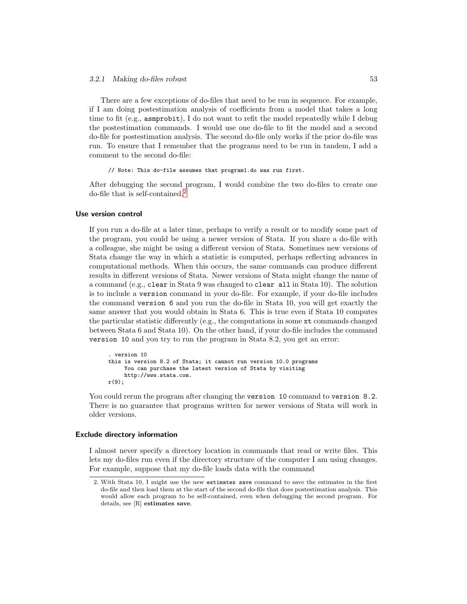#### 3.2.1 Making do-files robust 53

There are a few exceptions of do-files that need to be run in sequence. For example, if I am doing postestimation analysis of coefficients from a model that takes a long time to fit (e.g., asmprobit), I do not want to refit the model repeatedly while I debug the postestimation commands. I would use one do-file to fit the model and a second do-file for postestimation analysis. The second do-file only works if the prior do-file was run. To ensure that I remember that the programs need to be run in tandem, I add a comment to the second do-file:

// Note: This do-file assumes that program1.do was run first.

After debugging the second program, I would combine the two do-files to create one do-file that is self-contained.<sup>2</sup>

## Use version control

If you run a do-file at a later time, perhaps to verify a result or to modify some part of the program, you could be using a newer version of Stata. If you share a do-file with a colleague, she might be using a different version of Stata. Sometimes new versions of Stata change the way in which a statistic is computed, perhaps reflecting advances in computational methods. When this occurs, the same commands can produce different results in different versions of Stata. Newer versions of Stata might change the name of a command (e.g., clear in Stata 9 was changed to clear all in Stata 10). The solution is to include a version command in your do-file. For example, if your do-file includes the command version 6 and you run the do-file in Stata 10, you will get exactly the same answer that you would obtain in Stata 6. This is true even if Stata 10 computes the particular statistic differently (e.g., the computations in some xt commands changed between Stata 6 and Stata 10). On the other hand, if your do-file includes the command version 10 and you try to run the program in Stata 8.2, you get an error:

```
. version 10
this is version 8.2 of Stata; it cannot run version 10.0 programs
     You can purchase the latest version of Stata by visiting
     http://www.stata.com.
r(9);
```
You could rerun the program after changing the version 10 command to version 8.2. There is no guarantee that programs written for newer versions of Stata will work in older versions.

#### Exclude directory information

I almost never specify a directory location in commands that read or write files. This lets my do-files run even if the directory structure of the computer I am using changes. For example, suppose that my do-file loads data with the command

<sup>2.</sup> With Stata 10, I might use the new estimates save command to save the estimates in the first do-file and then load them at the start of the second do-file that does postestimation analysis. This would allow each program to be self-contained, even when debugging the second program. For details, see [R] estimates save.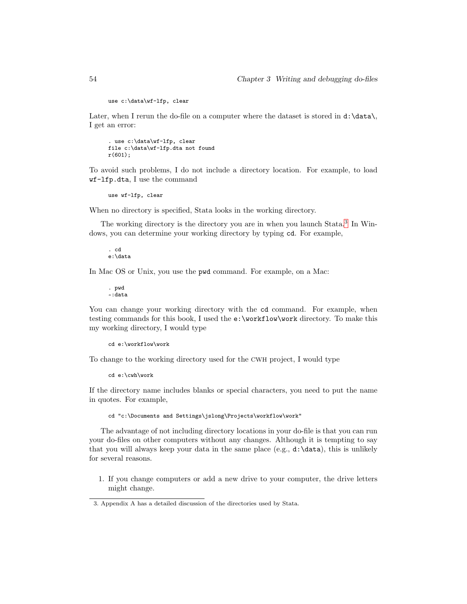use c:\data\wf-lfp, clear

Later, when I rerun the do-file on a computer where the dataset is stored in  $d:\data\$ I get an error:

```
. use c:\data\wf-lfp, clear
file c:\data\wf-lfp.dta not found
r(601);
```
To avoid such problems, I do not include a directory location. For example, to load wf-lfp.dta, I use the command

```
use wf-lfp, clear
```
When no directory is specified, Stata looks in the working directory.

The working directory is the directory you are in when you launch Stata.<sup>3</sup> In Windows, you can determine your working directory by typing cd. For example,

. cd e:\data

In Mac OS or Unix, you use the pwd command. For example, on a Mac:

. pwd ~ :data

You can change your working directory with the cd command. For example, when testing commands for this book, I used the e:\workflow\work directory. To make this my working directory, I would type

#### cd e:\workflow\work

To change to the working directory used for the CWH project, I would type

```
cd e:\cwh\work
```
If the directory name includes blanks or special characters, you need to put the name in quotes. For example,

cd "c:\Documents and Settings\jslong\Projects\workflow\work"

The advantage of not including directory locations in your do-file is that you can run your do-files on other computers without any changes. Although it is tempting to say that you will always keep your data in the same place (e.g.,  $d:\data$ ), this is unlikely for several reasons.

1. If you change computers or add a new drive to your computer, the drive letters might change.

<sup>3.</sup> Appendix A has a detailed discussion of the directories used by Stata.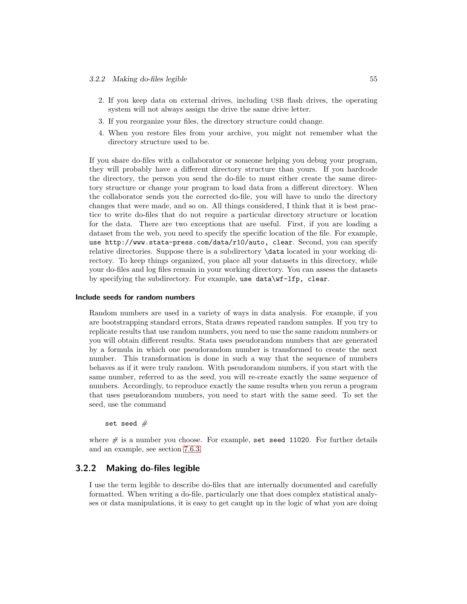- 2. If you keep data on external drives, including USB flash drives, the operating system will not always assign the drive the same drive letter.
- 3. If you reorganize your files, the directory structure could change.
- 4. When you restore files from your archive, you might not remember what the directory structure used to be.

If you share do-files with a collaborator or someone helping you debug your program, they will probably have a different directory structure than yours. If you hardcode the directory, the person you send the do-file to must either create the same directory structure or change your program to load data from a different directory. When the collaborator sends you the corrected do-file, you will have to undo the directory changes that were made, and so on. All things considered, I think that it is best practice to write do-files that do not require a particular directory structure or location for the data. There are two exceptions that are useful. First, if you are loading a dataset from the web, you need to specify the specific location of the file. For example, use http://www.stata-press.com/data/r10/auto, clear. Second, you can specify relative directories. Suppose there is a subdirectory \data located in your working directory. To keep things organized, you place all your datasets in this directory, while your do-files and log files remain in your working directory. You can assess the datasets by specifying the subdirectory. For example, use data\wf-lfp, clear.

#### Include seeds for random numbers

Random numbers are used in a variety of ways in data analysis. For example, if you are bootstrapping standard errors, Stata draws repeated random samples. If you try to replicate results that use random numbers, you need to use the same random numbers or you will obtain different results. Stata uses pseudorandom numbers that are generated by a formula in which one pseudorandom number is transformed to create the next number. This transformation is done in such a way that the sequence of numbers behaves as if it were truly random. With pseudorandom numbers, if you start with the same number, referred to as the seed, you will re-create exactly the same sequence of numbers. Accordingly, to reproduce exactly the same results when you rerun a program that uses pseudorandom numbers, you need to start with the same seed. To set the seed, use the command

set seed  $#$ 

where  $#$  is a number you choose. For example, set seed 11020. For further details and an example, see section 7.6.3.

## 3.2.2 Making do-files legible

I use the term legible to describe do-files that are internally documented and carefully formatted. When writing a do-file, particularly one that does complex statistical analyses or data manipulations, it is easy to get caught up in the logic of what you are doing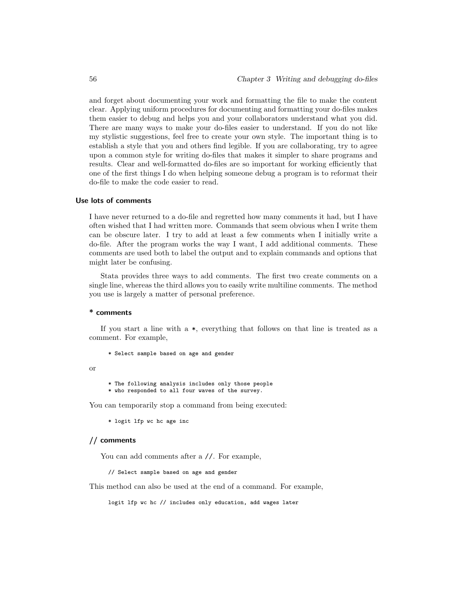and forget about documenting your work and formatting the file to make the content clear. Applying uniform procedures for documenting and formatting your do-files makes them easier to debug and helps you and your collaborators understand what you did. There are many ways to make your do-files easier to understand. If you do not like my stylistic suggestions, feel free to create your own style. The important thing is to establish a style that you and others find legible. If you are collaborating, try to agree upon a common style for writing do-files that makes it simpler to share programs and results. Clear and well-formatted do-files are so important for working efficiently that one of the first things I do when helping someone debug a program is to reformat their do-file to make the code easier to read.

## Use lots of comments

I have never returned to a do-file and regretted how many comments it had, but I have often wished that I had written more. Commands that seem obvious when I write them can be obscure later. I try to add at least a few comments when I initially write a do-file. After the program works the way I want, I add additional comments. These comments are used both to label the output and to explain commands and options that might later be confusing.

Stata provides three ways to add comments. The first two create comments on a single line, whereas the third allows you to easily write multiline comments. The method you use is largely a matter of personal preference.

#### \* comments

If you start a line with a \*, everything that follows on that line is treated as a comment. For example,

\* Select sample based on age and gender

or

\* The following analysis includes only those people

\* who responded to all four waves of the survey.

You can temporarily stop a command from being executed:

\* logit lfp wc hc age inc

#### // comments

You can add comments after a  $//$ . For example,

// Select sample based on age and gender

This method can also be used at the end of a command. For example,

logit lfp wc hc // includes only education, add wages later